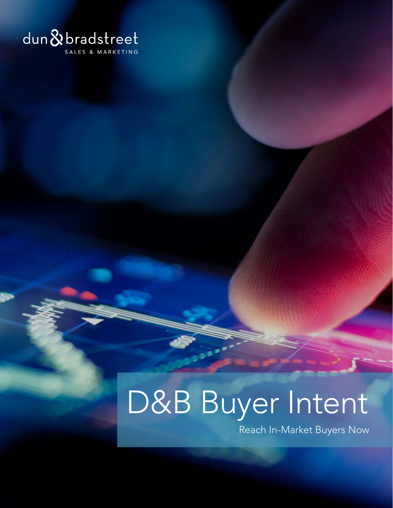

# D&B Buyer Intent

Reach In-Market Buyers Now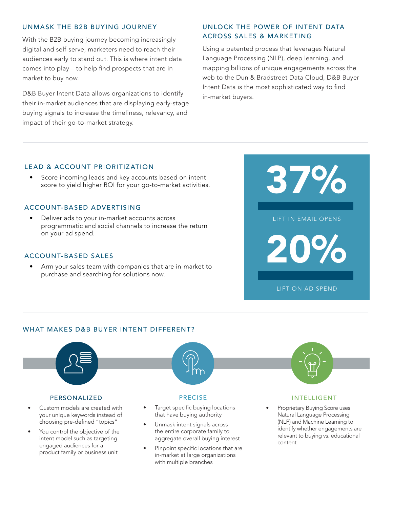# UNMASK THE B2B BUYING JOURNEY

With the B2B buying journey becoming increasingly digital and self-serve, marketers need to reach their audiences early to stand out. This is where intent data comes into play – to help find prospects that are in market to buy now.

D&B Buyer Intent Data allows organizations to identify their in-market audiences that are displaying early-stage buying signals to increase the timeliness, relevancy, and impact of their go-to-market strategy.

# UNLOCK THE POWER OF INTENT DATA ACROSS SALES & MARKETING

Using a patented process that leverages Natural Language Processing (NLP), deep learning, and mapping billions of unique engagements across the web to the Dun & Bradstreet Data Cloud, D&B Buyer Intent Data is the most sophisticated way to find in-market buyers.

## LE AD & ACCOUNT PRIORITIZ ATION

Score incoming leads and key accounts based on intent score to yield higher ROI for your go-to-market activities.

## ACCOUNT-BASED ADVERTISING

Deliver ads to your in-market accounts across programmatic and social channels to increase the return on your ad spend.

# ACCOUNT-BASED SALES

Arm your sales team with companies that are in-market to purchase and searching for solutions now.



# WHAT MAKES D&B BUYER INTENT DIFFERENT?



- You control the objective of the intent model such as targeting engaged audiences for a product family or business unit
- the entire corporate family to aggregate overall buying interest
- Pinpoint specific locations that are in-market at large organizations with multiple branches
- identify whether engagements are relevant to buying vs. educational content